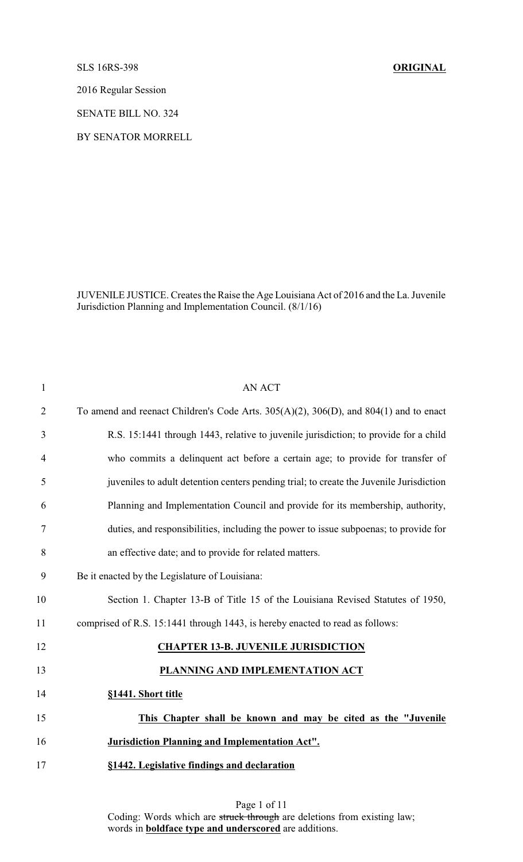SLS 16RS-398 **ORIGINAL**

2016 Regular Session

SENATE BILL NO. 324

BY SENATOR MORRELL

JUVENILE JUSTICE. Creates the Raise the Age Louisiana Act of 2016 and the La. Juvenile Jurisdiction Planning and Implementation Council. (8/1/16)

| $\mathbf{1}$   | <b>AN ACT</b>                                                                                 |
|----------------|-----------------------------------------------------------------------------------------------|
| $\overline{2}$ | To amend and reenact Children's Code Arts. $305(A)(2)$ , $306(D)$ , and $804(1)$ and to enact |
| 3              | R.S. 15:1441 through 1443, relative to juvenile jurisdiction; to provide for a child          |
| 4              | who commits a delinquent act before a certain age; to provide for transfer of                 |
| 5              | juveniles to adult detention centers pending trial; to create the Juvenile Jurisdiction       |
| 6              | Planning and Implementation Council and provide for its membership, authority,                |
| 7              | duties, and responsibilities, including the power to issue subpoenas; to provide for          |
| 8              | an effective date; and to provide for related matters.                                        |
| 9              | Be it enacted by the Legislature of Louisiana:                                                |
| 10             | Section 1. Chapter 13-B of Title 15 of the Louisiana Revised Statutes of 1950,                |
| 11             | comprised of R.S. 15:1441 through 1443, is hereby enacted to read as follows:                 |
| 12             | <b>CHAPTER 13-B. JUVENILE JURISDICTION</b>                                                    |
| 13             | PLANNING AND IMPLEMENTATION ACT                                                               |
| 14             | §1441. Short title                                                                            |
| 15             | This Chapter shall be known and may be cited as the "Juvenile                                 |
| 16             | <b>Jurisdiction Planning and Implementation Act".</b>                                         |
| 17             | §1442. Legislative findings and declaration                                                   |
|                |                                                                                               |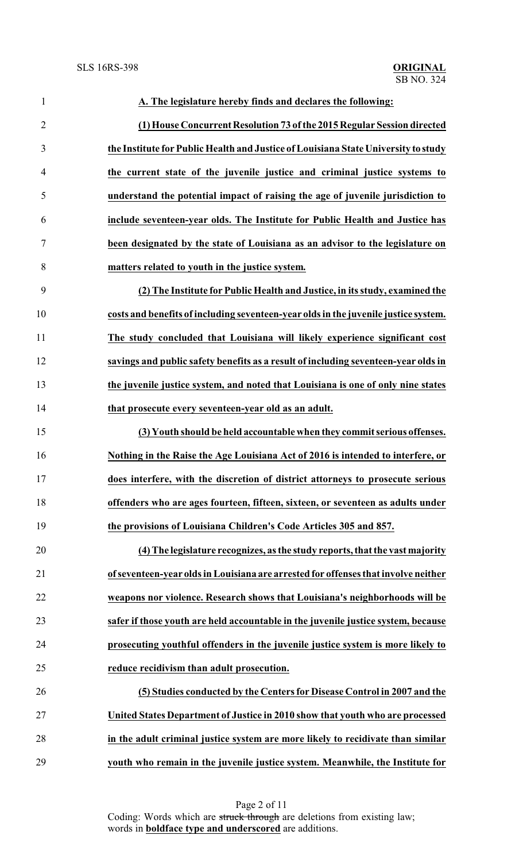| $\mathbf{1}$   | A. The legislature hereby finds and declares the following:                         |
|----------------|-------------------------------------------------------------------------------------|
| $\overline{2}$ | (1) House Concurrent Resolution 73 of the 2015 Regular Session directed             |
| 3              | the Institute for Public Health and Justice of Louisiana State University to study  |
| $\overline{4}$ | the current state of the juvenile justice and criminal justice systems to           |
| 5              | understand the potential impact of raising the age of juvenile jurisdiction to      |
| 6              | include seventeen-year olds. The Institute for Public Health and Justice has        |
| $\tau$         | been designated by the state of Louisiana as an advisor to the legislature on       |
| 8              | matters related to youth in the justice system.                                     |
| 9              | (2) The Institute for Public Health and Justice, in its study, examined the         |
| 10             | costs and benefits of including seventeen-year olds in the juvenile justice system. |
| 11             | The study concluded that Louisiana will likely experience significant cost          |
| 12             | savings and public safety benefits as a result of including seventeen-year olds in  |
| 13             | the juvenile justice system, and noted that Louisiana is one of only nine states    |
| 14             | that prosecute every seventeen-year old as an adult.                                |
| 15             | (3) Youth should be held accountable when they commit serious offenses.             |
| 16             | Nothing in the Raise the Age Louisiana Act of 2016 is intended to interfere, or     |
| 17             | does interfere, with the discretion of district attorneys to prosecute serious      |
| 18             | offenders who are ages fourteen, fifteen, sixteen, or seventeen as adults under     |
| 19             | the provisions of Louisiana Children's Code Articles 305 and 857.                   |
| 20             | (4) The legislature recognizes, as the study reports, that the vast majority        |
| 21             | of seventeen-year olds in Louisiana are arrested for offenses that involve neither  |
| 22             | weapons nor violence. Research shows that Louisiana's neighborhoods will be         |
| 23             | safer if those youth are held accountable in the juvenile justice system, because   |
| 24             | prosecuting youthful offenders in the juvenile justice system is more likely to     |
| 25             | reduce recidivism than adult prosecution.                                           |
| 26             | (5) Studies conducted by the Centers for Disease Control in 2007 and the            |
| 27             | United States Department of Justice in 2010 show that youth who are processed       |
| 28             | in the adult criminal justice system are more likely to recidivate than similar     |
| 29             | youth who remain in the juvenile justice system. Meanwhile, the Institute for       |

Page 2 of 11 Coding: Words which are struck through are deletions from existing law; words in **boldface type and underscored** are additions.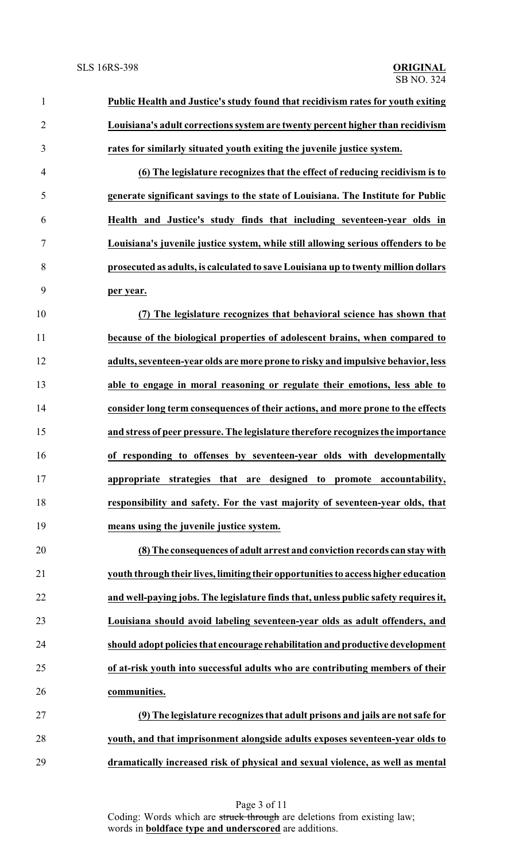| $\mathbf{1}$   | Public Health and Justice's study found that recidivism rates for youth exiting     |
|----------------|-------------------------------------------------------------------------------------|
| $\overline{2}$ | Louisiana's adult corrections system are twenty percent higher than recidivism      |
| 3              | rates for similarly situated youth exiting the juvenile justice system.             |
| $\overline{4}$ | (6) The legislature recognizes that the effect of reducing recidivism is to         |
| 5              | generate significant savings to the state of Louisiana. The Institute for Public    |
| 6              | Health and Justice's study finds that including seventeen-year olds in              |
| $\tau$         | Louisiana's juvenile justice system, while still allowing serious offenders to be   |
| 8              | prosecuted as adults, is calculated to save Louisiana up to twenty million dollars  |
| 9              | per year.                                                                           |
| 10             | (7) The legislature recognizes that behavioral science has shown that               |
| 11             | because of the biological properties of adolescent brains, when compared to         |
| 12             | adults, seventeen-year olds are more prone to risky and impulsive behavior, less    |
| 13             | able to engage in moral reasoning or regulate their emotions, less able to          |
| 14             | consider long term consequences of their actions, and more prone to the effects     |
| 15             | and stress of peer pressure. The legislature therefore recognizes the importance    |
| 16             | of responding to offenses by seventeen-year olds with developmentally               |
| 17             | appropriate strategies that are designed to promote accountability,                 |
| 18             | responsibility and safety. For the vast majority of seventeen-year olds, that       |
| 19             | means using the juvenile justice system.                                            |
| 20             | (8) The consequences of adult arrest and conviction records can stay with           |
| 21             | youth through their lives, limiting their opportunities to access higher education  |
| 22             | and well-paying jobs. The legislature finds that, unless public safety requires it, |
| 23             | Louisiana should avoid labeling seventeen-year olds as adult offenders, and         |
| 24             | should adopt policies that encourage rehabilitation and productive development      |
| 25             | of at-risk youth into successful adults who are contributing members of their       |
| 26             | communities.                                                                        |
| 27             | (9) The legislature recognizes that adult prisons and jails are not safe for        |
| 28             | youth, and that imprisonment alongside adults exposes seventeen-year olds to        |
| 29             | dramatically increased risk of physical and sexual violence, as well as mental      |

Page 3 of 11 Coding: Words which are struck through are deletions from existing law; words in **boldface type and underscored** are additions.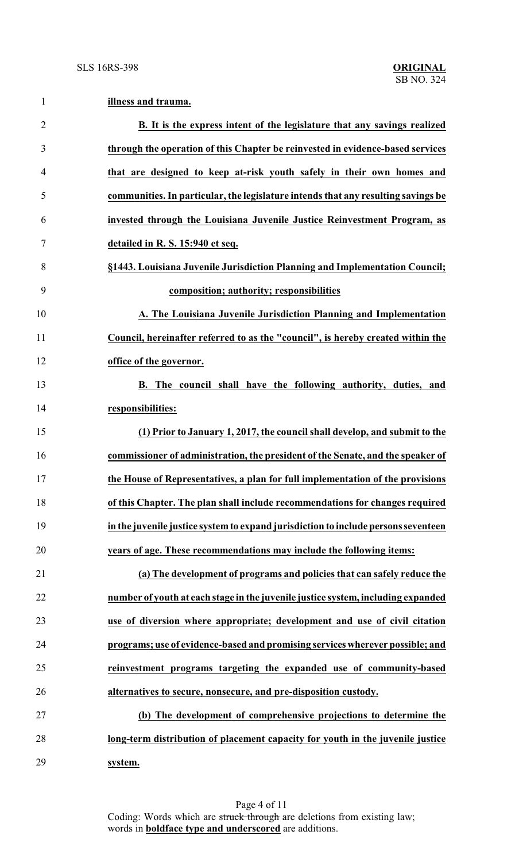**illness and trauma.**

| $\overline{2}$   | B. It is the express intent of the legislature that any savings realized           |
|------------------|------------------------------------------------------------------------------------|
| 3                | through the operation of this Chapter be reinvested in evidence-based services     |
| 4                | that are designed to keep at-risk youth safely in their own homes and              |
| 5                | communities. In particular, the legislature intends that any resulting savings be  |
| 6                | invested through the Louisiana Juvenile Justice Reinvestment Program, as           |
| $\boldsymbol{7}$ | detailed in R. S. 15:940 et seq.                                                   |
| 8                | §1443. Louisiana Juvenile Jurisdiction Planning and Implementation Council;        |
| 9                | composition; authority; responsibilities                                           |
| 10               | A. The Louisiana Juvenile Jurisdiction Planning and Implementation                 |
| 11               | Council, hereinafter referred to as the "council", is hereby created within the    |
| 12               | office of the governor.                                                            |
| 13               | B. The council shall have the following authority, duties, and                     |
| 14               | responsibilities:                                                                  |
| 15               | (1) Prior to January 1, 2017, the council shall develop, and submit to the         |
| 16               | commissioner of administration, the president of the Senate, and the speaker of    |
| 17               | the House of Representatives, a plan for full implementation of the provisions     |
| 18               | of this Chapter. The plan shall include recommendations for changes required       |
| 19               | in the juvenile justice system to expand jurisdiction to include persons seventeen |
| 20               | years of age. These recommendations may include the following items:               |
| 21               | (a) The development of programs and policies that can safely reduce the            |
| 22               | number of youth at each stage in the juvenile justice system, including expanded   |
| 23               | use of diversion where appropriate; development and use of civil citation          |
| 24               | programs; use of evidence-based and promising services wherever possible; and      |
| 25               | reinvestment programs targeting the expanded use of community-based                |
| 26               | alternatives to secure, nonsecure, and pre-disposition custody.                    |
| 27               | (b) The development of comprehensive projections to determine the                  |
| 28               | long-term distribution of placement capacity for youth in the juvenile justice     |
| 29               | system.                                                                            |

Page 4 of 11 Coding: Words which are struck through are deletions from existing law; words in **boldface type and underscored** are additions.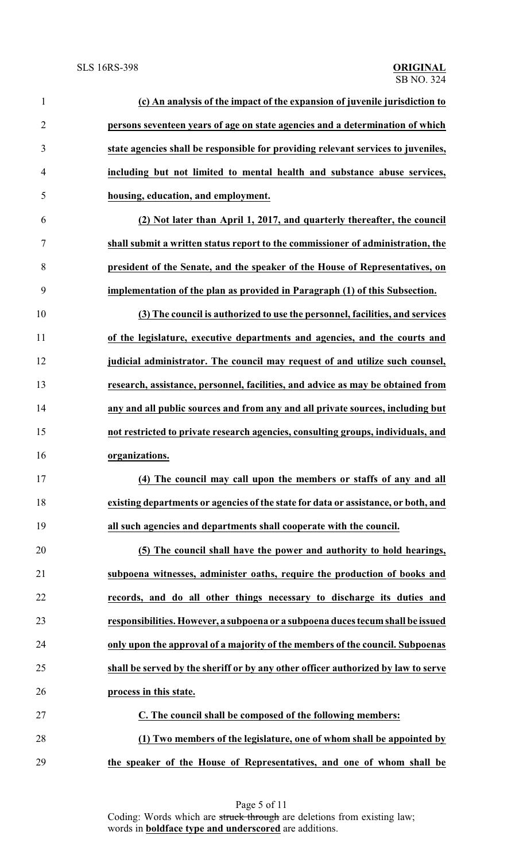| $\mathbf{1}$   | (c) An analysis of the impact of the expansion of juvenile jurisdiction to         |
|----------------|------------------------------------------------------------------------------------|
| $\overline{2}$ | persons seventeen years of age on state agencies and a determination of which      |
| 3              | state agencies shall be responsible for providing relevant services to juveniles,  |
| 4              | including but not limited to mental health and substance abuse services,           |
| 5              | housing, education, and employment.                                                |
| 6              | (2) Not later than April 1, 2017, and quarterly thereafter, the council            |
| 7              | shall submit a written status report to the commissioner of administration, the    |
| 8              | president of the Senate, and the speaker of the House of Representatives, on       |
| 9              | implementation of the plan as provided in Paragraph (1) of this Subsection.        |
| 10             | (3) The council is authorized to use the personnel, facilities, and services       |
| 11             | of the legislature, executive departments and agencies, and the courts and         |
| 12             | judicial administrator. The council may request of and utilize such counsel,       |
| 13             | research, assistance, personnel, facilities, and advice as may be obtained from    |
| 14             | any and all public sources and from any and all private sources, including but     |
| 15             | not restricted to private research agencies, consulting groups, individuals, and   |
| 16             | organizations.                                                                     |
| 17             | (4) The council may call upon the members or staffs of any and all                 |
| 18             | existing departments or agencies of the state for data or assistance, or both, and |
| 19             | all such agencies and departments shall cooperate with the council.                |
| 20             | (5) The council shall have the power and authority to hold hearings,               |
| 21             | subpoena witnesses, administer oaths, require the production of books and          |
| 22             | records, and do all other things necessary to discharge its duties and             |
| 23             | responsibilities. However, a subpoena or a subpoena duces tecum shall be issued    |
| 24             | only upon the approval of a majority of the members of the council. Subpoenas      |
| 25             | shall be served by the sheriff or by any other officer authorized by law to serve  |
| 26             | process in this state.                                                             |
| 27             | C. The council shall be composed of the following members:                         |
| 28             | (1) Two members of the legislature, one of whom shall be appointed by              |
| 29             | the speaker of the House of Representatives, and one of whom shall be              |

Page 5 of 11 Coding: Words which are struck through are deletions from existing law; words in **boldface type and underscored** are additions.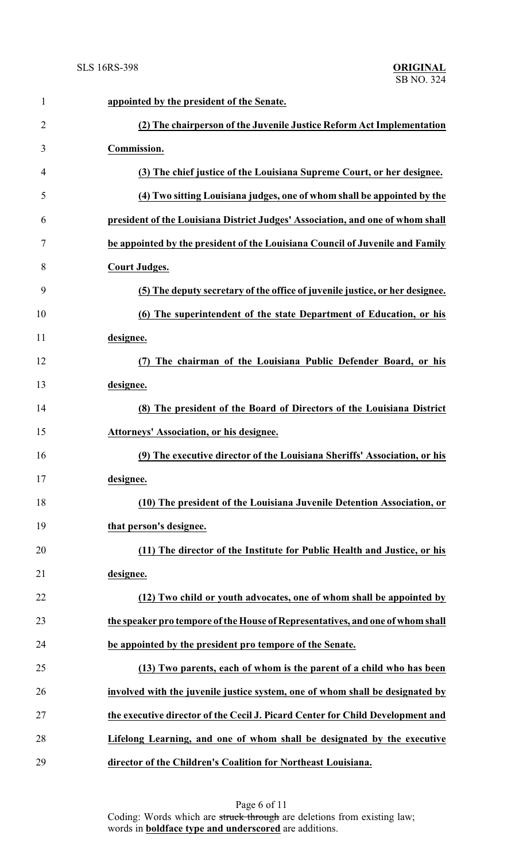| $\mathbf{1}$   | appointed by the president of the Senate.                                      |
|----------------|--------------------------------------------------------------------------------|
| $\overline{2}$ | (2) The chairperson of the Juvenile Justice Reform Act Implementation          |
| 3              | Commission.                                                                    |
| 4              | (3) The chief justice of the Louisiana Supreme Court, or her designee.         |
| 5              | (4) Two sitting Louisiana judges, one of whom shall be appointed by the        |
| 6              | president of the Louisiana District Judges' Association, and one of whom shall |
| 7              | be appointed by the president of the Louisiana Council of Juvenile and Family  |
| 8              | <b>Court Judges.</b>                                                           |
| 9              | (5) The deputy secretary of the office of juvenile justice, or her designee.   |
| 10             | (6) The superintendent of the state Department of Education, or his            |
| 11             | designee.                                                                      |
| 12             | The chairman of the Louisiana Public Defender Board, or his                    |
| 13             | designee.                                                                      |
| 14             | (8) The president of the Board of Directors of the Louisiana District          |
| 15             | Attorneys' Association, or his designee.                                       |
| 16             | (9) The executive director of the Louisiana Sheriffs' Association, or his      |
| 17             | designee.                                                                      |
| 18             | (10) The president of the Louisiana Juvenile Detention Association, or         |
| 19             | that person's designee.                                                        |
| 20             | (11) The director of the Institute for Public Health and Justice, or his       |
| 21             | designee.                                                                      |
| 22             | (12) Two child or youth advocates, one of whom shall be appointed by           |
| 23             | the speaker pro tempore of the House of Representatives, and one of whom shall |
| 24             | be appointed by the president pro tempore of the Senate.                       |
| 25             | (13) Two parents, each of whom is the parent of a child who has been           |
| 26             | involved with the juvenile justice system, one of whom shall be designated by  |
| 27             | the executive director of the Cecil J. Picard Center for Child Development and |
| 28             | Lifelong Learning, and one of whom shall be designated by the executive        |
| 29             | director of the Children's Coalition for Northeast Louisiana.                  |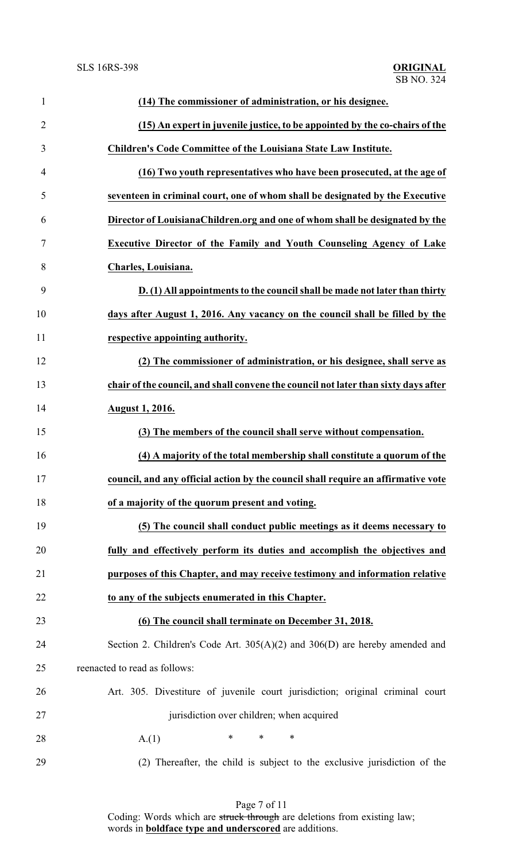| $\mathbf{1}$   | (14) The commissioner of administration, or his designee.                           |
|----------------|-------------------------------------------------------------------------------------|
| $\overline{2}$ | (15) An expert in juvenile justice, to be appointed by the co-chairs of the         |
| 3              | Children's Code Committee of the Louisiana State Law Institute.                     |
| 4              | (16) Two youth representatives who have been prosecuted, at the age of              |
| 5              | seventeen in criminal court, one of whom shall be designated by the Executive       |
| 6              | Director of LouisianaChildren.org and one of whom shall be designated by the        |
| 7              | Executive Director of the Family and Youth Counseling Agency of Lake                |
| 8              | Charles, Louisiana.                                                                 |
| 9              | D. (1) All appointments to the council shall be made not later than thirty          |
| 10             | days after August 1, 2016. Any vacancy on the council shall be filled by the        |
| 11             | respective appointing authority.                                                    |
| 12             | (2) The commissioner of administration, or his designee, shall serve as             |
| 13             | chair of the council, and shall convene the council not later than sixty days after |
| 14             | <b>August 1, 2016.</b>                                                              |
| 15             | (3) The members of the council shall serve without compensation.                    |
| 16             | (4) A majority of the total membership shall constitute a quorum of the             |
| 17             | council, and any official action by the council shall require an affirmative vote   |
| 18             | of a majority of the quorum present and voting.                                     |
| 19             | (5) The council shall conduct public meetings as it deems necessary to              |
| 20             | fully and effectively perform its duties and accomplish the objectives and          |
| 21             | purposes of this Chapter, and may receive testimony and information relative        |
| 22             | to any of the subjects enumerated in this Chapter.                                  |
| 23             | (6) The council shall terminate on December 31, 2018.                               |
| 24             | Section 2. Children's Code Art. 305(A)(2) and 306(D) are hereby amended and         |
| 25             | reenacted to read as follows:                                                       |
| 26             | Art. 305. Divestiture of juvenile court jurisdiction; original criminal court       |
| 27             | jurisdiction over children; when acquired                                           |
| 28             | $\ast$<br>$\ast$<br>$\ast$<br>A(1)                                                  |
| 29             | (2) Thereafter, the child is subject to the exclusive jurisdiction of the           |

Page 7 of 11 Coding: Words which are struck through are deletions from existing law; words in **boldface type and underscored** are additions.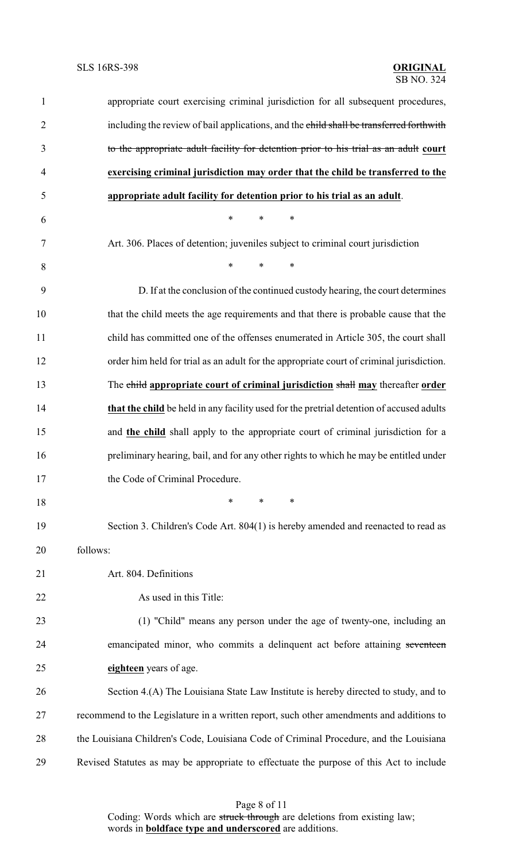| $\mathbf{1}$   | appropriate court exercising criminal jurisdiction for all subsequent procedures,        |
|----------------|------------------------------------------------------------------------------------------|
| $\overline{2}$ | including the review of bail applications, and the child shall be transferred forthwith  |
| 3              | to the appropriate adult facility for detention prior to his trial as an adult court     |
| $\overline{4}$ | exercising criminal jurisdiction may order that the child be transferred to the          |
| 5              | appropriate adult facility for detention prior to his trial as an adult.                 |
| 6              | $\ast$<br>*<br>$\ast$                                                                    |
| $\tau$         | Art. 306. Places of detention; juveniles subject to criminal court jurisdiction          |
| 8              | $\ast$<br>*<br>$\ast$                                                                    |
| 9              | D. If at the conclusion of the continued custody hearing, the court determines           |
| 10             | that the child meets the age requirements and that there is probable cause that the      |
| 11             | child has committed one of the offenses enumerated in Article 305, the court shall       |
| 12             | order him held for trial as an adult for the appropriate court of criminal jurisdiction. |
| 13             | The child appropriate court of criminal jurisdiction shall may thereafter order          |
| 14             | that the child be held in any facility used for the pretrial detention of accused adults |
| 15             | and <b>the child</b> shall apply to the appropriate court of criminal jurisdiction for a |
| 16             | preliminary hearing, bail, and for any other rights to which he may be entitled under    |
| 17             | the Code of Criminal Procedure.                                                          |
| 18             | $\ast$<br>$\ast$<br>∗                                                                    |
| 19             | Section 3. Children's Code Art. 804(1) is hereby amended and reenacted to read as        |
| 20             | follows:                                                                                 |
| 21             | Art. 804. Definitions                                                                    |
| 22             | As used in this Title:                                                                   |
| 23             | (1) "Child" means any person under the age of twenty-one, including an                   |
| 24             | emancipated minor, who commits a delinquent act before attaining seventeen               |
| 25             | eighteen years of age.                                                                   |
| 26             | Section 4.(A) The Louisiana State Law Institute is hereby directed to study, and to      |
| 27             | recommend to the Legislature in a written report, such other amendments and additions to |
| 28             | the Louisiana Children's Code, Louisiana Code of Criminal Procedure, and the Louisiana   |
| 29             | Revised Statutes as may be appropriate to effectuate the purpose of this Act to include  |

Page 8 of 11

Coding: Words which are struck through are deletions from existing law; words in **boldface type and underscored** are additions.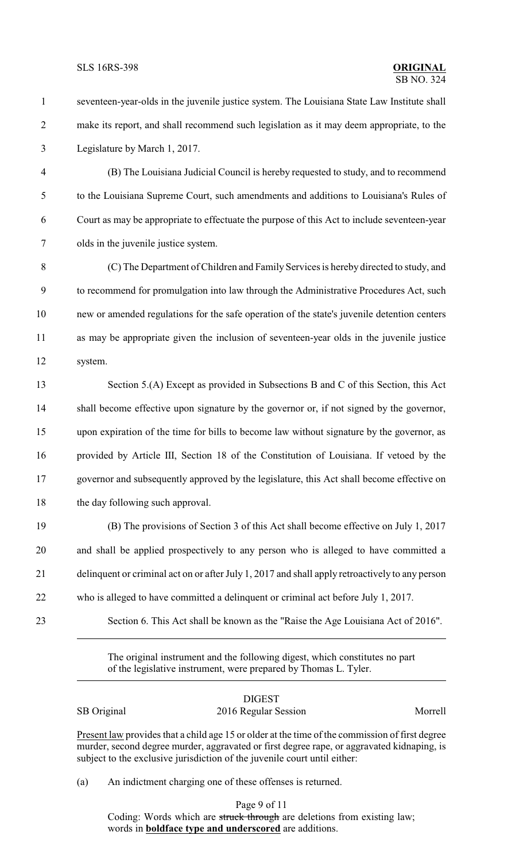- seventeen-year-olds in the juvenile justice system. The Louisiana State Law Institute shall make its report, and shall recommend such legislation as it may deem appropriate, to the Legislature by March 1, 2017.
- (B) The Louisiana Judicial Council is hereby requested to study, and to recommend to the Louisiana Supreme Court, such amendments and additions to Louisiana's Rules of Court as may be appropriate to effectuate the purpose of this Act to include seventeen-year olds in the juvenile justice system.
- (C) The Department of Children and Family Services is hereby directed to study, and to recommend for promulgation into law through the Administrative Procedures Act, such new or amended regulations for the safe operation of the state's juvenile detention centers as may be appropriate given the inclusion of seventeen-year olds in the juvenile justice system.
- Section 5.(A) Except as provided in Subsections B and C of this Section, this Act shall become effective upon signature by the governor or, if not signed by the governor, upon expiration of the time for bills to become law without signature by the governor, as provided by Article III, Section 18 of the Constitution of Louisiana. If vetoed by the governor and subsequently approved by the legislature, this Act shall become effective on the day following such approval.
- (B) The provisions of Section 3 of this Act shall become effective on July 1, 2017 and shall be applied prospectively to any person who is alleged to have committed a delinquent or criminal act on or after July 1, 2017 and shall apply retroactively to any person who is alleged to have committed a delinquent or criminal act before July 1, 2017.
- 

Section 6. This Act shall be known as the "Raise the Age Louisiana Act of 2016".

The original instrument and the following digest, which constitutes no part of the legislative instrument, were prepared by Thomas L. Tyler.

|             | <b>DIGEST</b>        |         |
|-------------|----------------------|---------|
| SB Original | 2016 Regular Session | Morrell |

Present law provides that a child age 15 or older at the time of the commission of first degree murder, second degree murder, aggravated or first degree rape, or aggravated kidnaping, is subject to the exclusive jurisdiction of the juvenile court until either:

(a) An indictment charging one of these offenses is returned.

Page 9 of 11 Coding: Words which are struck through are deletions from existing law; words in **boldface type and underscored** are additions.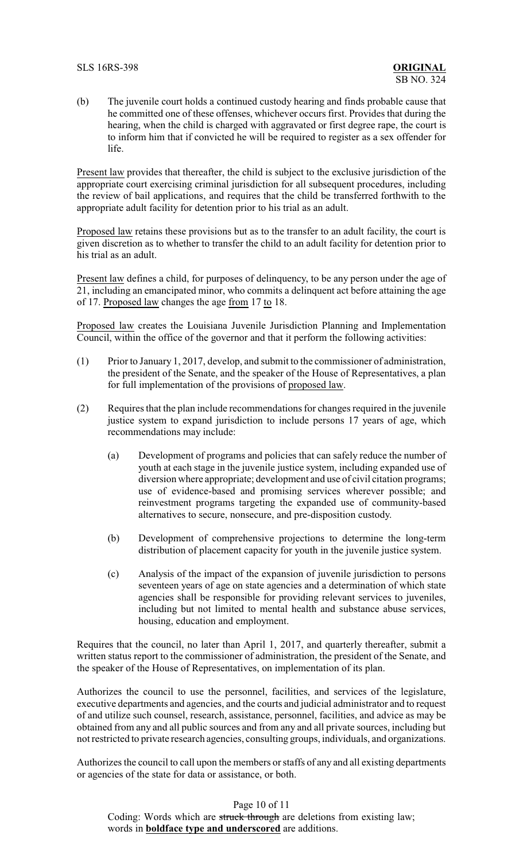(b) The juvenile court holds a continued custody hearing and finds probable cause that he committed one of these offenses, whichever occurs first. Provides that during the hearing, when the child is charged with aggravated or first degree rape, the court is to inform him that if convicted he will be required to register as a sex offender for life.

Present law provides that thereafter, the child is subject to the exclusive jurisdiction of the appropriate court exercising criminal jurisdiction for all subsequent procedures, including the review of bail applications, and requires that the child be transferred forthwith to the appropriate adult facility for detention prior to his trial as an adult.

Proposed law retains these provisions but as to the transfer to an adult facility, the court is given discretion as to whether to transfer the child to an adult facility for detention prior to his trial as an adult.

Present law defines a child, for purposes of delinquency, to be any person under the age of 21, including an emancipated minor, who commits a delinquent act before attaining the age of 17. Proposed law changes the age from 17 to 18.

Proposed law creates the Louisiana Juvenile Jurisdiction Planning and Implementation Council, within the office of the governor and that it perform the following activities:

- (1) Prior to January 1, 2017, develop, and submit to the commissioner of administration, the president of the Senate, and the speaker of the House of Representatives, a plan for full implementation of the provisions of proposed law.
- (2) Requires that the plan include recommendations for changes required in the juvenile justice system to expand jurisdiction to include persons 17 years of age, which recommendations may include:
	- (a) Development of programs and policies that can safely reduce the number of youth at each stage in the juvenile justice system, including expanded use of diversion where appropriate; development and use of civil citation programs; use of evidence-based and promising services wherever possible; and reinvestment programs targeting the expanded use of community-based alternatives to secure, nonsecure, and pre-disposition custody.
	- (b) Development of comprehensive projections to determine the long-term distribution of placement capacity for youth in the juvenile justice system.
	- (c) Analysis of the impact of the expansion of juvenile jurisdiction to persons seventeen years of age on state agencies and a determination of which state agencies shall be responsible for providing relevant services to juveniles, including but not limited to mental health and substance abuse services, housing, education and employment.

Requires that the council, no later than April 1, 2017, and quarterly thereafter, submit a written status report to the commissioner of administration, the president of the Senate, and the speaker of the House of Representatives, on implementation of its plan.

Authorizes the council to use the personnel, facilities, and services of the legislature, executive departments and agencies, and the courts and judicial administrator and to request of and utilize such counsel, research, assistance, personnel, facilities, and advice as may be obtained from any and all public sources and from any and all private sources, including but not restricted to private research agencies, consulting groups, individuals, and organizations.

Authorizes the council to call upon the members or staffs of any and all existing departments or agencies of the state for data or assistance, or both.

Page 10 of 11

Coding: Words which are struck through are deletions from existing law; words in **boldface type and underscored** are additions.